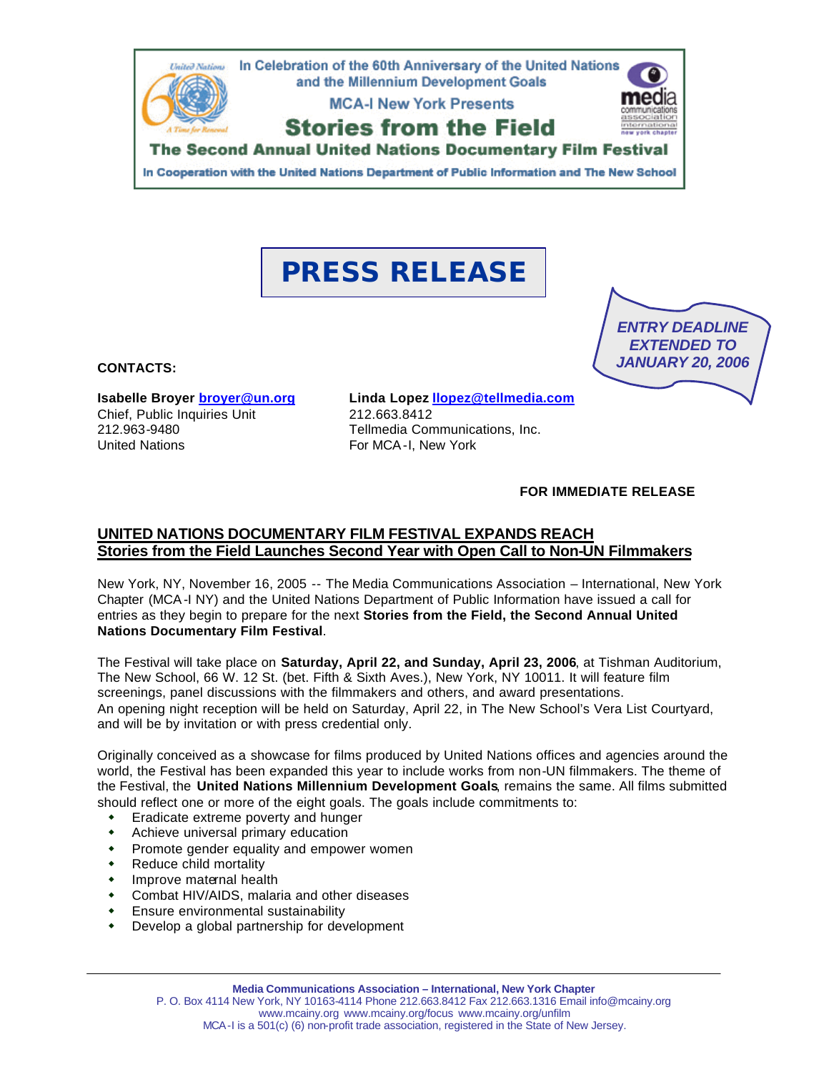

In Cooperation with the United Nations Department of Public Information and The New School

# **PRESS RELEASE**



**CONTACTS:** 

**Isabelle Broyer broyer@un.org** Chief, Public Inquiries Unit 212.963-9480 United Nations

**Linda Lopez llopez@tellmedia.com** 212.663.8412 Tellmedia Communications, Inc. For MCA-I, New York

**FOR IMMEDIATE RELEASE**

# **UNITED NATIONS DOCUMENTARY FILM FESTIVAL EXPANDS REACH Stories from the Field Launches Second Year with Open Call to Non-UN Filmmakers**

New York, NY, November 16, 2005 -- The Media Communications Association – International, New York Chapter (MCA-I NY) and the United Nations Department of Public Information have issued a call for entries as they begin to prepare for the next **Stories from the Field, the Second Annual United Nations Documentary Film Festival**.

The Festival will take place on **Saturday, April 22, and Sunday, April 23, 2006**, at Tishman Auditorium, The New School, 66 W. 12 St. (bet. Fifth & Sixth Aves.), New York, NY 10011. It will feature film screenings, panel discussions with the filmmakers and others, and award presentations. An opening night reception will be held on Saturday, April 22, in The New School's Vera List Courtyard, and will be by invitation or with press credential only.

Originally conceived as a showcase for films produced by United Nations offices and agencies around the world, the Festival has been expanded this year to include works from non-UN filmmakers. The theme of the Festival, the **United Nations Millennium Development Goals**, remains the same. All films submitted should reflect one or more of the eight goals. The goals include commitments to:

- Eradicate extreme poverty and hunger
- Achieve universal primary education
- Promote gender equality and empower women
- Reduce child mortality
- Improve maternal health
- Combat HIV/AIDS, malaria and other diseases
- Ensure environmental sustainability
- Develop a global partnership for development